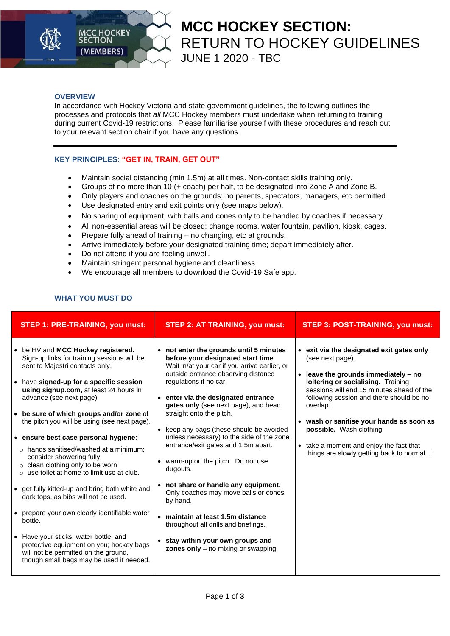

## **MCC HOCKEY SECTION:**  RETURN TO HOCKEY GUIDELINES JUNE 1 2020 - TBC

### **OVERVIEW**

In accordance with Hockey Victoria and state government guidelines, the following outlines the processes and protocols that *all* MCC Hockey members must undertake when returning to training during current Covid-19 restrictions. Please familiarise yourself with these procedures and reach out to your relevant section chair if you have any questions.

### **KEY PRINCIPLES: "GET IN, TRAIN, GET OUT"**

- Maintain social distancing (min 1.5m) at all times. Non-contact skills training only.
- Groups of no more than 10 (+ coach) per half, to be designated into Zone A and Zone B.
- Only players and coaches on the grounds; no parents, spectators, managers, etc permitted.
- Use designated entry and exit points only (see maps below).
- No sharing of equipment, with balls and cones only to be handled by coaches if necessary.
- All non-essential areas will be closed: change rooms, water fountain, pavilion, kiosk, cages.
- Prepare fully ahead of training no changing, etc at grounds.
- Arrive immediately before your designated training time; depart immediately after.
- Do not attend if you are feeling unwell.
- Maintain stringent personal hygiene and cleanliness.
- We encourage all members to download the Covid-19 Safe app.

### **WHAT YOU MUST DO**

| <b>STEP 1: PRE-TRAINING, you must:</b>                                                                                                                                                                                                                                                                                                                                                                                                                                                                                                                                                                                                                                                                                                                                                                                                                                              | <b>STEP 2: AT TRAINING, you must:</b>                                                                                                                                                                                                                                                                                                                                                                                                                                                                                                                                                                                                                                                                                                         | <b>STEP 3: POST-TRAINING, you must:</b>                                                                                                                                                                                                                                                                                                                                                                                     |
|-------------------------------------------------------------------------------------------------------------------------------------------------------------------------------------------------------------------------------------------------------------------------------------------------------------------------------------------------------------------------------------------------------------------------------------------------------------------------------------------------------------------------------------------------------------------------------------------------------------------------------------------------------------------------------------------------------------------------------------------------------------------------------------------------------------------------------------------------------------------------------------|-----------------------------------------------------------------------------------------------------------------------------------------------------------------------------------------------------------------------------------------------------------------------------------------------------------------------------------------------------------------------------------------------------------------------------------------------------------------------------------------------------------------------------------------------------------------------------------------------------------------------------------------------------------------------------------------------------------------------------------------------|-----------------------------------------------------------------------------------------------------------------------------------------------------------------------------------------------------------------------------------------------------------------------------------------------------------------------------------------------------------------------------------------------------------------------------|
| • be HV and MCC Hockey registered.<br>Sign-up links for training sessions will be<br>sent to Majestri contacts only.<br>• have signed-up for a specific session<br>using signup.com, at least 24 hours in<br>advance (see next page).<br>• be sure of which groups and/or zone of<br>the pitch you will be using (see next page).<br>• ensure best case personal hygiene:<br>$\circ$ hands sanitised/washed at a minimum;<br>consider showering fully.<br>$\circ$ clean clothing only to be worn<br>$\circ$ use toilet at home to limit use at club.<br>• get fully kitted-up and bring both white and<br>dark tops, as bibs will not be used.<br>• prepare your own clearly identifiable water<br>bottle.<br>• Have your sticks, water bottle, and<br>protective equipment on you; hockey bags<br>will not be permitted on the ground,<br>though small bags may be used if needed. | • not enter the grounds until 5 minutes<br>before your designated start time.<br>Wait in/at your car if you arrive earlier, or<br>outside entrance observing distance<br>regulations if no car.<br>• enter via the designated entrance<br>gates only (see next page), and head<br>straight onto the pitch.<br>• keep any bags (these should be avoided<br>unless necessary) to the side of the zone<br>entrance/exit gates and 1.5m apart.<br>warm-up on the pitch. Do not use<br>dugouts.<br>• not share or handle any equipment.<br>Only coaches may move balls or cones<br>by hand.<br>• maintain at least 1.5m distance<br>throughout all drills and briefings.<br>stay within your own groups and<br>zones only - no mixing or swapping. | • exit via the designated exit gates only<br>(see next page).<br>leave the grounds immediately - no<br>$\bullet$<br>loitering or socialising. Training<br>sessions will end 15 minutes ahead of the<br>following session and there should be no<br>overlap.<br>• wash or sanitise your hands as soon as<br>possible. Wash clothing.<br>• take a moment and enjoy the fact that<br>things are slowly getting back to normal! |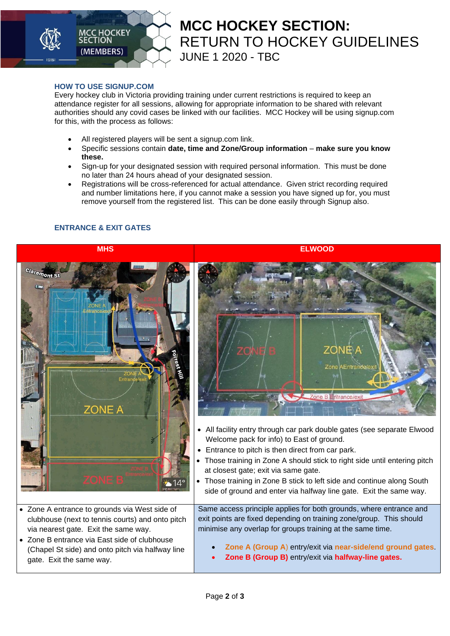

# **MCC HOCKEY SECTION:**  RETURN TO HOCKEY GUIDELINES JUNE 1 2020 - TBC

#### **HOW TO USE SIGNUP.COM**

Every hockey club in Victoria providing training under current restrictions is required to keep an attendance register for all sessions, allowing for appropriate information to be shared with relevant authorities should any covid cases be linked with our facilities. MCC Hockey will be using signup.com for this, with the process as follows:

- All registered players will be sent a signup.com link.
- Specific sessions contain **date, time and Zone/Group information make sure you know these.**
- Sign-up for your designated session with required personal information. This must be done no later than 24 hours ahead of your designated session.
- Registrations will be cross-referenced for actual attendance. Given strict recording required and number limitations here, if you cannot make a session you have signed up for, you must remove yourself from the registered list. This can be done easily through Signup also.

### **ENTRANCE & EXIT GATES**